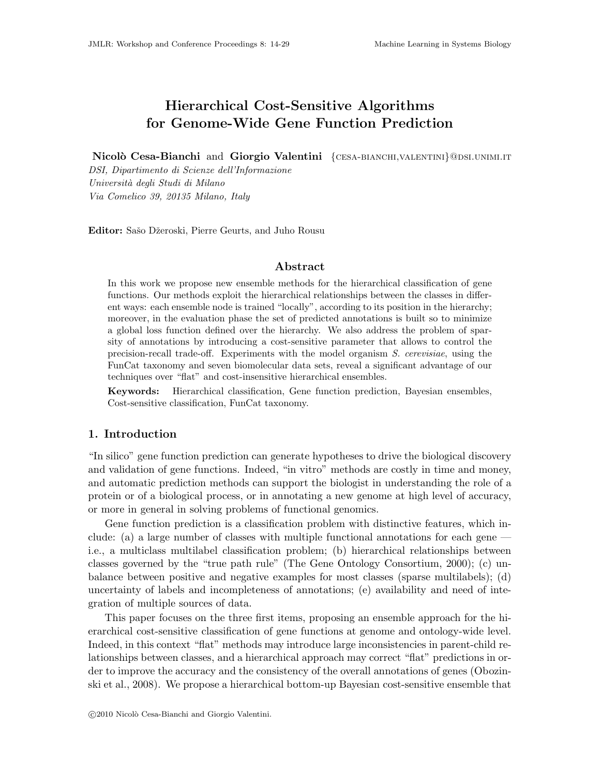# Hierarchical Cost-Sensitive Algorithms for Genome-Wide Gene Function Prediction

Nicolò Cesa-Bianchi and Giorgio Valentini {CESA-BIANCHI, VALENTINI}@DSI.UNIMI.IT

DSI, Dipartimento di Scienze dell'Informazione Università degli Studi di Milano Via Comelico 39, 20135 Milano, Italy

Editor: Sašo Džeroski, Pierre Geurts, and Juho Rousu

### Abstract

In this work we propose new ensemble methods for the hierarchical classification of gene functions. Our methods exploit the hierarchical relationships between the classes in different ways: each ensemble node is trained "locally", according to its position in the hierarchy; moreover, in the evaluation phase the set of predicted annotations is built so to minimize a global loss function defined over the hierarchy. We also address the problem of sparsity of annotations by introducing a cost-sensitive parameter that allows to control the precision-recall trade-off. Experiments with the model organism S. cerevisiae, using the FunCat taxonomy and seven biomolecular data sets, reveal a significant advantage of our techniques over "flat" and cost-insensitive hierarchical ensembles.

Keywords: Hierarchical classification, Gene function prediction, Bayesian ensembles, Cost-sensitive classification, FunCat taxonomy.

### 1. Introduction

"In silico" gene function prediction can generate hypotheses to drive the biological discovery and validation of gene functions. Indeed, "in vitro" methods are costly in time and money, and automatic prediction methods can support the biologist in understanding the role of a protein or of a biological process, or in annotating a new genome at high level of accuracy, or more in general in solving problems of functional genomics.

Gene function prediction is a classification problem with distinctive features, which include: (a) a large number of classes with multiple functional annotations for each gene i.e., a multiclass multilabel classification problem; (b) hierarchical relationships between classes governed by the "true path rule" (The Gene Ontology Consortium, 2000); (c) unbalance between positive and negative examples for most classes (sparse multilabels); (d) uncertainty of labels and incompleteness of annotations; (e) availability and need of integration of multiple sources of data.

This paper focuses on the three first items, proposing an ensemble approach for the hierarchical cost-sensitive classification of gene functions at genome and ontology-wide level. Indeed, in this context "flat" methods may introduce large inconsistencies in parent-child relationships between classes, and a hierarchical approach may correct "flat" predictions in order to improve the accuracy and the consistency of the overall annotations of genes (Obozinski et al., 2008). We propose a hierarchical bottom-up Bayesian cost-sensitive ensemble that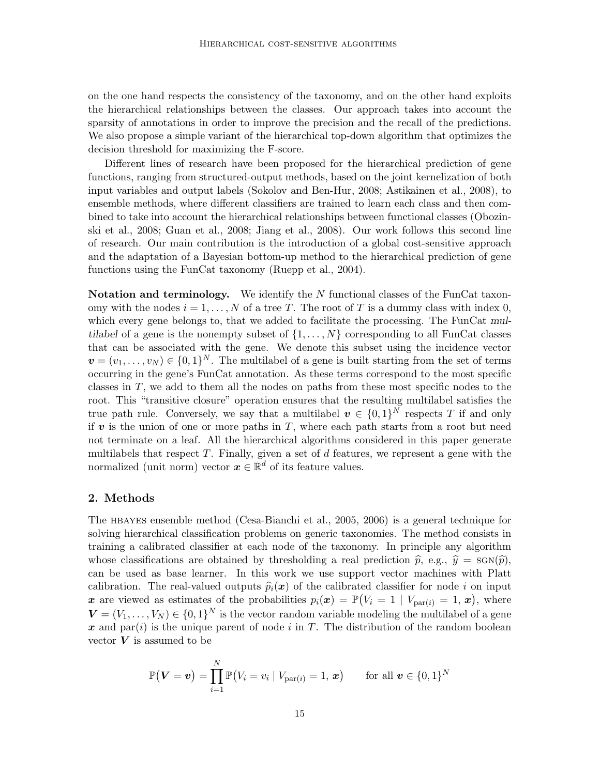on the one hand respects the consistency of the taxonomy, and on the other hand exploits the hierarchical relationships between the classes. Our approach takes into account the sparsity of annotations in order to improve the precision and the recall of the predictions. We also propose a simple variant of the hierarchical top-down algorithm that optimizes the decision threshold for maximizing the F-score.

Different lines of research have been proposed for the hierarchical prediction of gene functions, ranging from structured-output methods, based on the joint kernelization of both input variables and output labels (Sokolov and Ben-Hur, 2008; Astikainen et al., 2008), to ensemble methods, where different classifiers are trained to learn each class and then combined to take into account the hierarchical relationships between functional classes (Obozinski et al., 2008; Guan et al., 2008; Jiang et al., 2008). Our work follows this second line of research. Our main contribution is the introduction of a global cost-sensitive approach and the adaptation of a Bayesian bottom-up method to the hierarchical prediction of gene functions using the FunCat taxonomy (Ruepp et al., 2004).

Notation and terminology. We identify the N functional classes of the FunCat taxonomy with the nodes  $i = 1, ..., N$  of a tree T. The root of T is a dummy class with index 0, which every gene belongs to, that we added to facilitate the processing. The FunCat multilabel of a gene is the nonempty subset of  $\{1, \ldots, N\}$  corresponding to all FunCat classes that can be associated with the gene. We denote this subset using the incidence vector  $\mathbf{v} = (v_1, \dots, v_N) \in \{0, 1\}^N$ . The multilabel of a gene is built starting from the set of terms occurring in the gene's FunCat annotation. As these terms correspond to the most specific classes in T, we add to them all the nodes on paths from these most specific nodes to the root. This "transitive closure" operation ensures that the resulting multilabel satisfies the true path rule. Conversely, we say that a multilabel  $v \in \{0,1\}^N$  respects T if and only if  $v$  is the union of one or more paths in T, where each path starts from a root but need not terminate on a leaf. All the hierarchical algorithms considered in this paper generate multilabels that respect  $T$ . Finally, given a set of  $d$  features, we represent a gene with the normalized (unit norm) vector  $\boldsymbol{x} \in \mathbb{R}^d$  of its feature values.

#### 2. Methods

The HBAYES ensemble method (Cesa-Bianchi et al., 2005, 2006) is a general technique for solving hierarchical classification problems on generic taxonomies. The method consists in training a calibrated classifier at each node of the taxonomy. In principle any algorithm whose classifications are obtained by thresholding a real prediction  $\hat{p}$ , e.g.,  $\hat{y} = \text{sgn}(\hat{p})$ , can be used as base learner. In this work we use support vector machines with Platt calibration. The real-valued outputs  $\hat{p}_i(x)$  of the calibrated classifier for node i on input x are viewed as estimates of the probabilities  $p_i(x) = \mathbb{P}(V_i = 1 | V_{\text{par}(i)} = 1, x)$ , where  $\mathbf{V} = (V_1, \ldots, V_N) \in \{0,1\}^N$  is the vector random variable modeling the multilabel of a gene x and par(i) is the unique parent of node i in T. The distribution of the random boolean vector  $V$  is assumed to be

$$
\mathbb{P}(\boldsymbol{V}=\boldsymbol{v})=\prod_{i=1}^N\mathbb{P}(V_i=v_i\mid V_{\text{par}(i)}=1,\boldsymbol{x})\qquad\text{for all }\boldsymbol{v}\in\{0,1\}^N
$$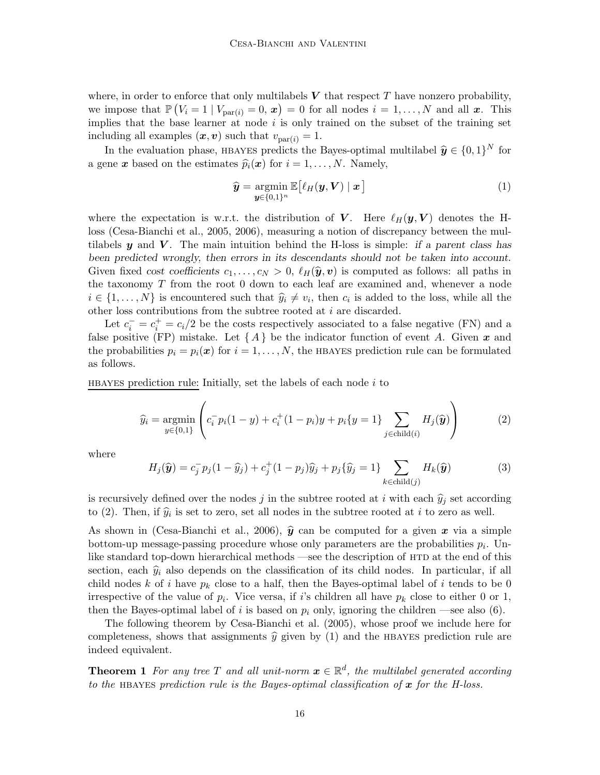where, in order to enforce that only multilabels  $V$  that respect  $T$  have nonzero probability, we impose that  $\mathbb{P}(V_i = 1 | V_{\text{par}(i)} = 0, x) = 0$  for all nodes  $i = 1, ..., N$  and all x. This implies that the base learner at node  $i$  is only trained on the subset of the training set including all examples  $(x, v)$  such that  $v_{\text{par}(i)} = 1$ .

In the evaluation phase, HBAYES predicts the Bayes-optimal multilabel  $\hat{y} \in \{0, 1\}^N$  for a gene x based on the estimates  $\widehat{p}_i(x)$  for  $i = 1, ..., N$ . Namely,

$$
\widehat{\mathbf{y}} = \underset{\mathbf{y} \in \{0,1\}^n}{\text{argmin}} \mathbb{E}\big[\ell_H(\mathbf{y}, \mathbf{V}) \mid \mathbf{x}\big] \tag{1}
$$

where the expectation is w.r.t. the distribution of V. Here  $\ell_H(\mathbf{y}, V)$  denotes the Hloss (Cesa-Bianchi et al., 2005, 2006), measuring a notion of discrepancy between the multilabels y and V. The main intuition behind the H-loss is simple: if a parent class has been predicted wrongly, then errors in its descendants should not be taken into account. Given fixed cost coefficients  $c_1, \ldots, c_N > 0$ ,  $\ell_H(\hat{\mathbf{y}}, \mathbf{v})$  is computed as follows: all paths in the taxonomy  $T$  from the root  $0$  down to each leaf are examined and, whenever a node  $i \in \{1, \ldots, N\}$  is encountered such that  $\hat{y}_i \neq v_i$ , then  $c_i$  is added to the loss, while all the other loss contributions from the subtree rooted at i are discarded.

Let  $c_i^- = c_i^+ = c_i/2$  be the costs respectively associated to a false negative (FN) and a false positive (FP) mistake. Let  $\{A\}$  be the indicator function of event A. Given x and the probabilities  $p_i = p_i(\mathbf{x})$  for  $i = 1, ..., N$ , the HBAYES prediction rule can be formulated as follows.

HBAYES prediction rule: Initially, set the labels of each node  $i$  to

$$
\widehat{y}_i = \underset{y \in \{0,1\}}{\text{argmin}} \left( c_i^- p_i (1-y) + c_i^+ (1-p_i) y + p_i \{y=1\} \sum_{j \in \text{child}(i)} H_j(\widehat{\mathbf{y}}) \right) \tag{2}
$$

where

$$
H_j(\widehat{\mathbf{y}}) = c_j^- p_j (1 - \widehat{y}_j) + c_j^+ (1 - p_j) \widehat{y}_j + p_j \{ \widehat{y}_j = 1 \} \sum_{k \in \text{child}(j)} H_k(\widehat{\mathbf{y}})
$$
(3)

is recursively defined over the nodes j in the subtree rooted at i with each  $\hat{y}_i$  set according to (2). Then, if  $\hat{y}_i$  is set to zero, set all nodes in the subtree rooted at i to zero as well.

As shown in (Cesa-Bianchi et al., 2006),  $\hat{y}$  can be computed for a given x via a simple bottom-up message-passing procedure whose only parameters are the probabilities  $p_i$ . Unlike standard top-down hierarchical methods —see the description of HTD at the end of this section, each  $\hat{y}_i$  also depends on the classification of its child nodes. In particular, if all child nodes k of i have  $p_k$  close to a half, then the Bayes-optimal label of i tends to be 0 irrespective of the value of  $p_i$ . Vice versa, if i's children all have  $p_k$  close to either 0 or 1, then the Bayes-optimal label of i is based on  $p_i$  only, ignoring the children —see also (6).

The following theorem by Cesa-Bianchi et al. (2005), whose proof we include here for completeness, shows that assignments  $\hat{y}$  given by (1) and the HBAYES prediction rule are indeed equivalent.

**Theorem 1** For any tree T and all unit-norm  $\boldsymbol{x} \in \mathbb{R}^d$ , the multilabel generated according to the HBAYES prediction rule is the Bayes-optimal classification of  $x$  for the H-loss.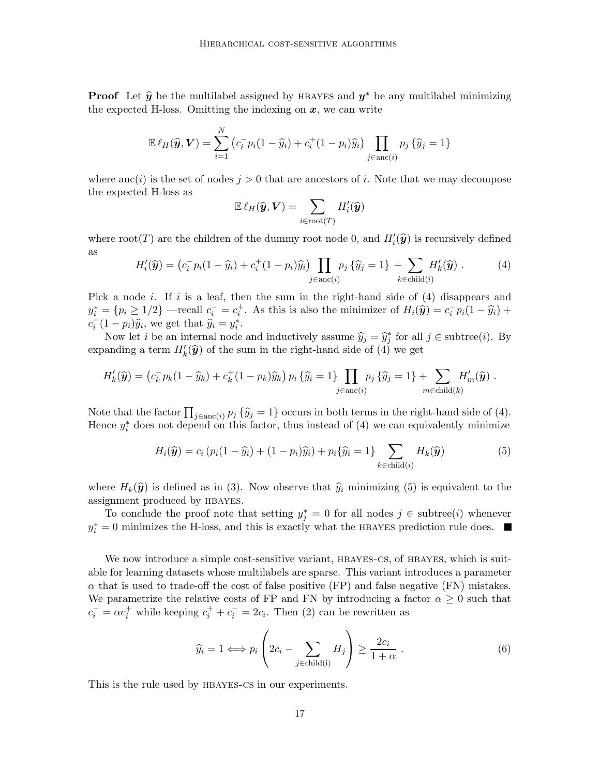**Proof** Let  $\hat{y}$  be the multilabel assigned by HBAYES and  $y^*$  be any multilabel minimizing the expected H-loss. Omitting the indexing on  $x$ , we can write

$$
\mathbb{E}\,\ell_H(\widehat{\boldsymbol{y}},\boldsymbol{V}) = \sum_{i=1}^N \left( c_i^- p_i (1-\widehat{y}_i) + c_i^+ (1-p_i) \widehat{y}_i \right) \prod_{j \in \text{anc}(i)} p_j \left\{ \widehat{y}_j = 1 \right\}
$$

where anc(i) is the set of nodes  $j > 0$  that are ancestors of i. Note that we may decompose the expected H-loss as

$$
\mathbb{E}\,\ell_H(\widehat{\boldsymbol{y}},\boldsymbol{V})=\sum_{i\in\mathrm{root}(T)}H_i'(\widehat{\boldsymbol{y}})
$$

where  $\text{root}(T)$  are the children of the dummy root node 0, and  $H_i'(\hat{y})$  is recursively defined as

$$
H'_{i}(\hat{\mathbf{y}}) = (c_i^- p_i (1 - \hat{y}_i) + c_i^+ (1 - p_i) \hat{y}_i) \prod_{j \in \text{anc}(i)} p_j \{\hat{y}_j = 1\} + \sum_{k \in \text{child}(i)} H'_{k}(\hat{\mathbf{y}}).
$$
 (4)

Pick a node i. If i is a leaf, then the sum in the right-hand side of  $(4)$  disappears and  $y_i^* = \{p_i \ge 1/2\}$  —recall  $c_i^- = c_i^+$ . As this is also the minimizer of  $H_i(\hat{\mathbf{y}}) = c_i^- p_i(1 - \hat{y}_i) +$  $c_i^+(1-p_i)\hat{y}_i$ , we get that  $\hat{y}_i = y_i^*$ .

Now let *i* be an internal node and inductively assume  $\hat{y}_j = \hat{y}_j^*$  for all  $j \in \text{subtree}(i)$ . By expanding a term  $H'_{k}(\hat{y})$  of the sum in the right-hand side of  $(4)$  we get

$$
H'_{k}(\widehat{\mathbf{y}}) = (c_k^- p_k (1 - \widehat{y}_k) + c_k^+ (1 - p_k) \widehat{y}_k) p_i \{\widehat{y}_i = 1\} \prod_{j \in \text{anc}(i)} p_j \{\widehat{y}_j = 1\} + \sum_{m \in \text{child}(k)} H'_{m}(\widehat{\mathbf{y}}).
$$

Note that the factor  $\prod_{j \in \text{anc}(i)} p_j \{\hat{y}_j = 1\}$  occurs in both terms in the right-hand side of (4). Hence  $y_i^*$  does not depend on this factor, thus instead of (4) we can equivalently minimize

$$
H_i(\hat{\mathbf{y}}) = c_i (p_i(1 - \hat{y}_i) + (1 - p_i)\hat{y}_i) + p_i {\hat{y}_i = 1} \sum_{k \in \text{child}(i)} H_k(\hat{\mathbf{y}})
$$
(5)

where  $H_k(\hat{\mathbf{y}})$  is defined as in (3). Now observe that  $\hat{y}_i$  minimizing (5) is equivalent to the assignment produced by hbayes.

To conclude the proof note that setting  $y_j^* = 0$  for all nodes  $j \in \text{subtree}(i)$  whenever  $y_i^* = 0$  minimizes the H-loss, and this is exactly what the HBAYES prediction rule does.

We now introduce a simple cost-sensitive variant, HBAYES-CS, of HBAYES, which is suitable for learning datasets whose multilabels are sparse. This variant introduces a parameter  $\alpha$  that is used to trade-off the cost of false positive (FP) and false negative (FN) mistakes. We parametrize the relative costs of FP and FN by introducing a factor  $\alpha \geq 0$  such that  $c_i^- = \alpha c_i^+$  while keeping  $c_i^+ + c_i^- = 2c_i$ . Then (2) can be rewritten as

$$
\widehat{y}_i = 1 \Longleftrightarrow p_i \left( 2c_i - \sum_{j \in \text{child}(i)} H_j \right) \ge \frac{2c_i}{1 + \alpha} \ . \tag{6}
$$

This is the rule used by HBAYES-CS in our experiments.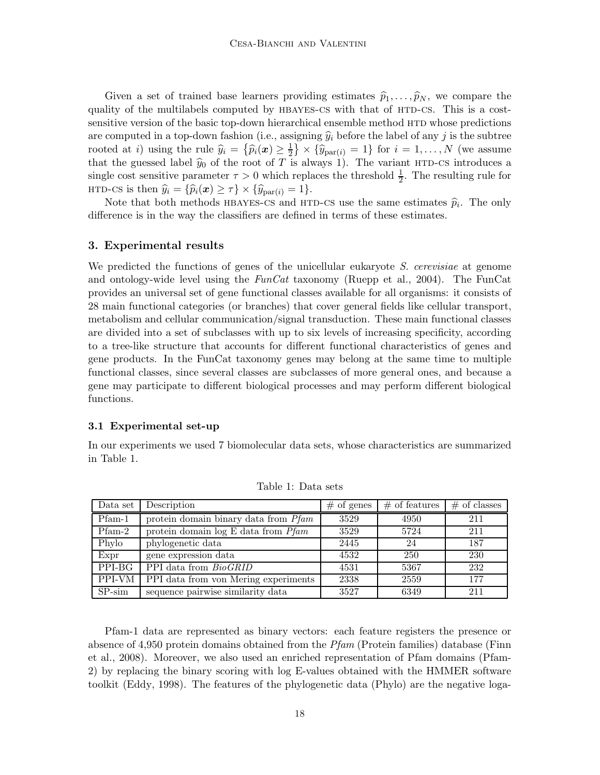Given a set of trained base learners providing estimates  $\hat{p}_1, \ldots, \hat{p}_N$ , we compare the quality of the multilabels computed by HBAYES-CS with that of HTD-CS. This is a costsensitive version of the basic top-down hierarchical ensemble method HTD whose predictions are computed in a top-down fashion (i.e., assigning  $\hat{y}_i$  before the label of any j is the subtree rooted at *i*) using the rule  $\hat{y}_i = \{\hat{p}_i(\boldsymbol{x}) \geq \frac{1}{2}\}$  $\left(\frac{1}{2}\right) \times \left\{\hat{y}_{\text{par}(i)} = 1\right\}$  for  $i = 1, \ldots, N$  (we assume that the guessed label  $\hat{y}_0$  of the root of T is always 1). The variant HTD-CS introduces a single cost sensitive parameter  $\tau > 0$  which replaces the threshold  $\frac{1}{2}$ . The resulting rule for HTD-CS is then  $\hat{y}_i = {\hat{p}_i(\boldsymbol{x}) \geq \tau} \times {\hat{y}_{\text{par}(i)} = 1}.$ 

Note that both methods HBAYES-CS and HTD-CS use the same estimates  $\hat{p}_i$ . The only difference is in the way the classifiers are defined in terms of these estimates.

#### 3. Experimental results

We predicted the functions of genes of the unicellular eukaryote S. cerevisiae at genome and ontology-wide level using the  $FunCat$  taxonomy (Ruepp et al., 2004). The FunCat provides an universal set of gene functional classes available for all organisms: it consists of 28 main functional categories (or branches) that cover general fields like cellular transport, metabolism and cellular communication/signal transduction. These main functional classes are divided into a set of subclasses with up to six levels of increasing specificity, according to a tree-like structure that accounts for different functional characteristics of genes and gene products. In the FunCat taxonomy genes may belong at the same time to multiple functional classes, since several classes are subclasses of more general ones, and because a gene may participate to different biological processes and may perform different biological functions.

#### 3.1 Experimental set-up

In our experiments we used 7 biomolecular data sets, whose characteristics are summarized in Table 1.

| Data set                   | Description                             | $#$ of genes | $#$ of features | $#$ of classes |
|----------------------------|-----------------------------------------|--------------|-----------------|----------------|
| $\overline{\text{Pfam-1}}$ | protein domain binary data from Pfam    | 3529         | 4950            | 211            |
| $Pfam-2$                   | protein domain $log E$ data from $Pfam$ | 3529         | 5724            | 211            |
| Phylo                      | phylogenetic data                       | 2445         | 24              | 187            |
| Expr                       | gene expression data                    | 4532         | 250             | 230            |
| PPI-BG                     | PPI data from BioGRID                   | 4531         | 5367            | 232            |
| $\overline{PPI}$ -VM       | PPI data from von Mering experiments    | 2338         | 2559            | 177            |
| $SP-sim$                   | sequence pairwise similarity data       | 3527         | 6349            | 211            |

Table 1: Data sets

Pfam-1 data are represented as binary vectors: each feature registers the presence or absence of 4,950 protein domains obtained from the  $Pfam$  (Protein families) database (Finn et al., 2008). Moreover, we also used an enriched representation of Pfam domains (Pfam-2) by replacing the binary scoring with log E-values obtained with the HMMER software toolkit (Eddy, 1998). The features of the phylogenetic data (Phylo) are the negative loga-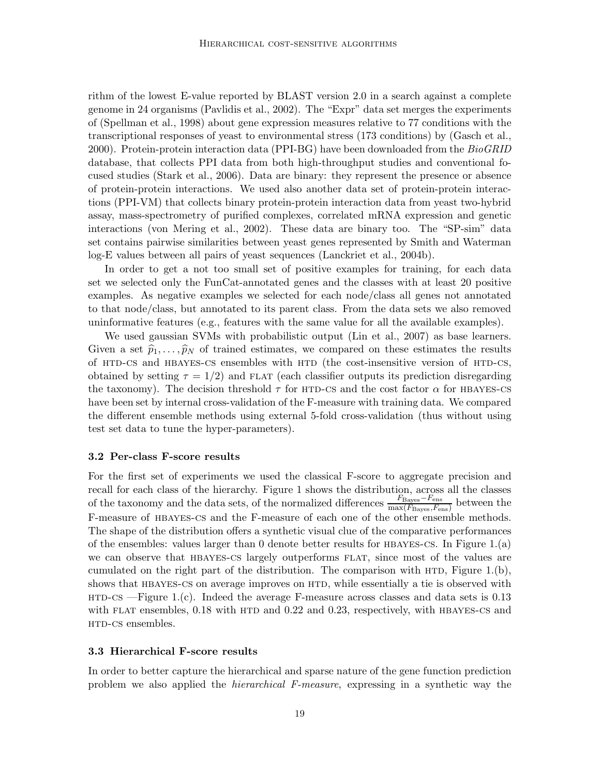rithm of the lowest E-value reported by BLAST version 2.0 in a search against a complete genome in 24 organisms (Pavlidis et al., 2002). The "Expr" data set merges the experiments of (Spellman et al., 1998) about gene expression measures relative to 77 conditions with the transcriptional responses of yeast to environmental stress (173 conditions) by (Gasch et al., 2000). Protein-protein interaction data (PPI-BG) have been downloaded from the  $BioGRID$ database, that collects PPI data from both high-throughput studies and conventional focused studies (Stark et al., 2006). Data are binary: they represent the presence or absence of protein-protein interactions. We used also another data set of protein-protein interactions (PPI-VM) that collects binary protein-protein interaction data from yeast two-hybrid assay, mass-spectrometry of purified complexes, correlated mRNA expression and genetic interactions (von Mering et al., 2002). These data are binary too. The "SP-sim" data set contains pairwise similarities between yeast genes represented by Smith and Waterman log-E values between all pairs of yeast sequences (Lanckriet et al., 2004b).

In order to get a not too small set of positive examples for training, for each data set we selected only the FunCat-annotated genes and the classes with at least 20 positive examples. As negative examples we selected for each node/class all genes not annotated to that node/class, but annotated to its parent class. From the data sets we also removed uninformative features (e.g., features with the same value for all the available examples).

We used gaussian SVMs with probabilistic output (Lin et al., 2007) as base learners. Given a set  $\hat{p}_1, \ldots, \hat{p}_N$  of trained estimates, we compared on these estimates the results of HTD-CS and HBAYES-CS ensembles with HTD (the cost-insensitive version of HTD-CS, obtained by setting  $\tau = 1/2$ ) and FLAT (each classifier outputs its prediction disregarding the taxonomy). The decision threshold  $\tau$  for HTD-CS and the cost factor  $\alpha$  for HBAYES-CS have been set by internal cross-validation of the F-measure with training data. We compared the different ensemble methods using external 5-fold cross-validation (thus without using test set data to tune the hyper-parameters).

#### 3.2 Per-class F-score results

For the first set of experiments we used the classical F-score to aggregate precision and recall for each class of the hierarchy. Figure 1 shows the distribution, across all the classes of the taxonomy and the data sets, of the normalized differences  $\frac{F_{\text{Bayes}} - F_{\text{ens}}}{\text{max}(F_{\text{max}} - F_{\text{ens}})}$  $\frac{P_{\text{Bayes}} - P_{\text{ens}}}{\max(F_{\text{Bayes}}, F_{\text{ens}})}$  between the F-measure of hbayes-cs and the F-measure of each one of the other ensemble methods. The shape of the distribution offers a synthetic visual clue of the comparative performances of the ensembles: values larger than 0 denote better results for  $HBAYES-CS$ . In Figure 1.(a) we can observe that HBAYES-CS largely outperforms FLAT, since most of the values are cumulated on the right part of the distribution. The comparison with  $HTD$ , Figure 1.(b), shows that HBAYES-CS on average improves on HTD, while essentially a tie is observed with  $HTD-CS -Figure 1.(c)$ . Indeed the average F-measure across classes and data sets is 0.13 with FLAT ensembles,  $0.18$  with HTD and  $0.22$  and  $0.23$ , respectively, with HBAYES-CS and HTD-CS ensembles.

### 3.3 Hierarchical F-score results

In order to better capture the hierarchical and sparse nature of the gene function prediction problem we also applied the hierarchical F-measure, expressing in a synthetic way the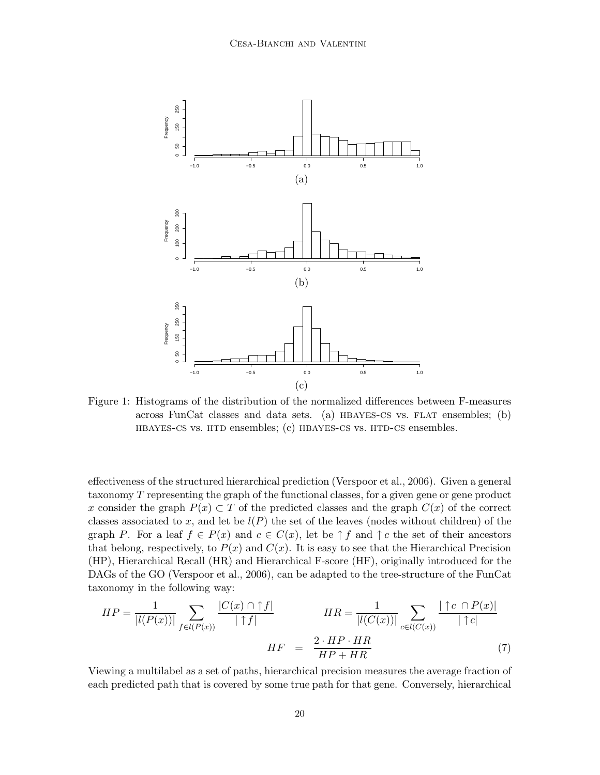

Figure 1: Histograms of the distribution of the normalized differences between F-measures across FunCat classes and data sets. (a)  $HBAYES-CS$  vs. FLAT ensembles; (b) hbayes-cs vs. htd ensembles; (c) hbayes-cs vs. htd-cs ensembles.

effectiveness of the structured hierarchical prediction (Verspoor et al., 2006). Given a general taxonomy T representing the graph of the functional classes, for a given gene or gene product x consider the graph  $P(x) \subset T$  of the predicted classes and the graph  $C(x)$  of the correct classes associated to x, and let be  $l(P)$  the set of the leaves (nodes without children) of the graph P. For a leaf  $f \in P(x)$  and  $c \in C(x)$ , let be  $\uparrow f$  and  $\uparrow c$  the set of their ancestors that belong, respectively, to  $P(x)$  and  $C(x)$ . It is easy to see that the Hierarchical Precision (HP), Hierarchical Recall (HR) and Hierarchical F-score (HF), originally introduced for the DAGs of the GO (Verspoor et al., 2006), can be adapted to the tree-structure of the FunCat taxonomy in the following way:

$$
HP = \frac{1}{|l(P(x))|} \sum_{f \in l(P(x))} \frac{|C(x) \cap f|}{|\uparrow f|} \qquad HR = \frac{1}{|l(C(x))|} \sum_{c \in l(C(x))} \frac{|\uparrow c \cap P(x)|}{|\uparrow c|}
$$

$$
HF = \frac{2 \cdot HP \cdot HR}{HP + HR} \tag{7}
$$

Viewing a multilabel as a set of paths, hierarchical precision measures the average fraction of each predicted path that is covered by some true path for that gene. Conversely, hierarchical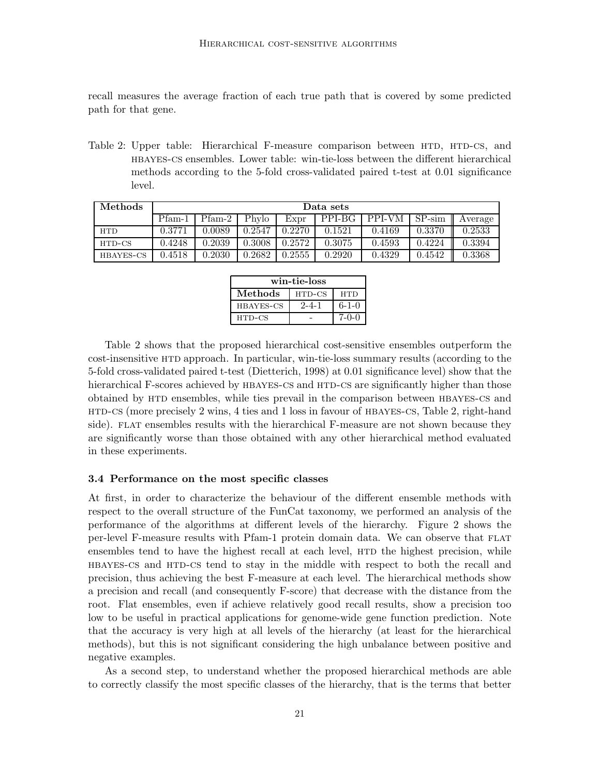recall measures the average fraction of each true path that is covered by some predicted path for that gene.

Table 2: Upper table: Hierarchical F-measure comparison between HTD, HTD-CS, and hbayes-cs ensembles. Lower table: win-tie-loss between the different hierarchical methods according to the 5-fold cross-validated paired t-test at 0.01 significance level.

| $\operatorname{Methods}$ | Data sets |        |        |        |        |        |          |         |
|--------------------------|-----------|--------|--------|--------|--------|--------|----------|---------|
|                          | Pfam-1    | Pfam-2 | Phylo  | Expr   | PPI-BG | PPI-VM | $SP-sim$ | Average |
| <b>HTD</b>               | 0.3771    | 0.0089 | 0.2547 | 0.2270 | 0.1521 | 0.4169 | 0.3370   | 0.2533  |
| HTD-CS                   | 0.4248    | 0.2039 | 0.3008 | 0.2572 | 0.3075 | 0.4593 | 0.4224   | 0.3394  |
| HBAYES-CS                | 0.4518    | 0.2030 | 0.2682 | 0.2555 | 0.2920 | 0.4329 | 0.4542   | 0.3368  |

| win-tie-loss     |             |             |  |  |  |
|------------------|-------------|-------------|--|--|--|
| Methods          | HTD-CS      | HTD         |  |  |  |
| <b>HBAYES-CS</b> | $2 - 4 - 1$ | $6 - 1 - 0$ |  |  |  |
| HTD-CS           |             | $7 - 0 - 0$ |  |  |  |

Table 2 shows that the proposed hierarchical cost-sensitive ensembles outperform the cost-insensitive htd approach. In particular, win-tie-loss summary results (according to the 5-fold cross-validated paired t-test (Dietterich, 1998) at 0.01 significance level) show that the hierarchical F-scores achieved by HBAYES-CS and HTD-CS are significantly higher than those obtained by htd ensembles, while ties prevail in the comparison between hbayes-cs and htd-cs (more precisely 2 wins, 4 ties and 1 loss in favour of hbayes-cs, Table 2, right-hand side). FLAT ensembles results with the hierarchical F-measure are not shown because they are significantly worse than those obtained with any other hierarchical method evaluated in these experiments.

#### 3.4 Performance on the most specific classes

At first, in order to characterize the behaviour of the different ensemble methods with respect to the overall structure of the FunCat taxonomy, we performed an analysis of the performance of the algorithms at different levels of the hierarchy. Figure 2 shows the per-level F-measure results with Pfam-1 protein domain data. We can observe that FLAT ensembles tend to have the highest recall at each level,  $HTD$  the highest precision, while HBAYES-CS and HTD-CS tend to stay in the middle with respect to both the recall and precision, thus achieving the best F-measure at each level. The hierarchical methods show a precision and recall (and consequently F-score) that decrease with the distance from the root. Flat ensembles, even if achieve relatively good recall results, show a precision too low to be useful in practical applications for genome-wide gene function prediction. Note that the accuracy is very high at all levels of the hierarchy (at least for the hierarchical methods), but this is not significant considering the high unbalance between positive and negative examples.

As a second step, to understand whether the proposed hierarchical methods are able to correctly classify the most specific classes of the hierarchy, that is the terms that better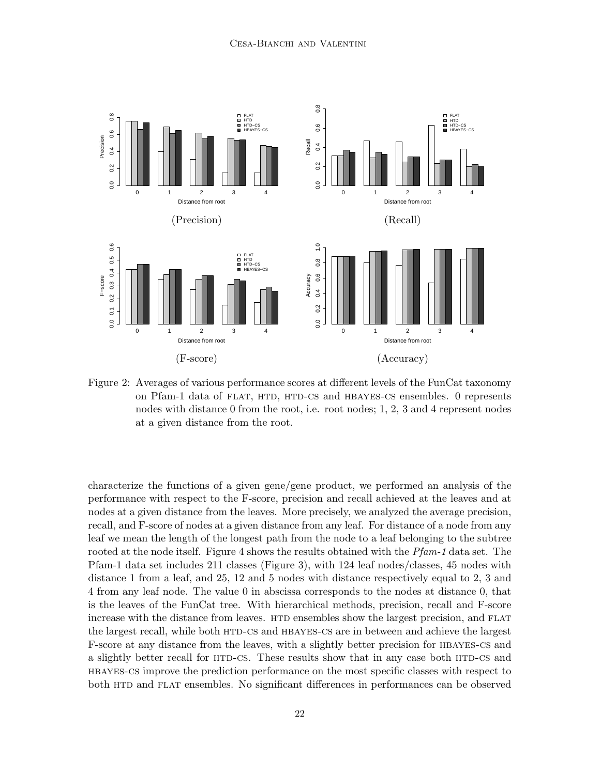

Figure 2: Averages of various performance scores at different levels of the FunCat taxonomy on Pfam-1 data of FLAT, HTD, HTD-CS and HBAYES-CS ensembles. 0 represents nodes with distance 0 from the root, i.e. root nodes; 1, 2, 3 and 4 represent nodes at a given distance from the root.

characterize the functions of a given gene/gene product, we performed an analysis of the performance with respect to the F-score, precision and recall achieved at the leaves and at nodes at a given distance from the leaves. More precisely, we analyzed the average precision, recall, and F-score of nodes at a given distance from any leaf. For distance of a node from any leaf we mean the length of the longest path from the node to a leaf belonging to the subtree rooted at the node itself. Figure 4 shows the results obtained with the *Pfam-1* data set. The Pfam-1 data set includes 211 classes (Figure 3), with 124 leaf nodes/classes, 45 nodes with distance 1 from a leaf, and 25, 12 and 5 nodes with distance respectively equal to 2, 3 and 4 from any leaf node. The value 0 in abscissa corresponds to the nodes at distance 0, that is the leaves of the FunCat tree. With hierarchical methods, precision, recall and F-score increase with the distance from leaves. HTD ensembles show the largest precision, and FLAT the largest recall, while both HTD-CS and HBAYES-CS are in between and achieve the largest F-score at any distance from the leaves, with a slightly better precision for hbayes-cs and a slightly better recall for HTD-CS. These results show that in any case both HTD-CS and hbayes-cs improve the prediction performance on the most specific classes with respect to both HTD and FLAT ensembles. No significant differences in performances can be observed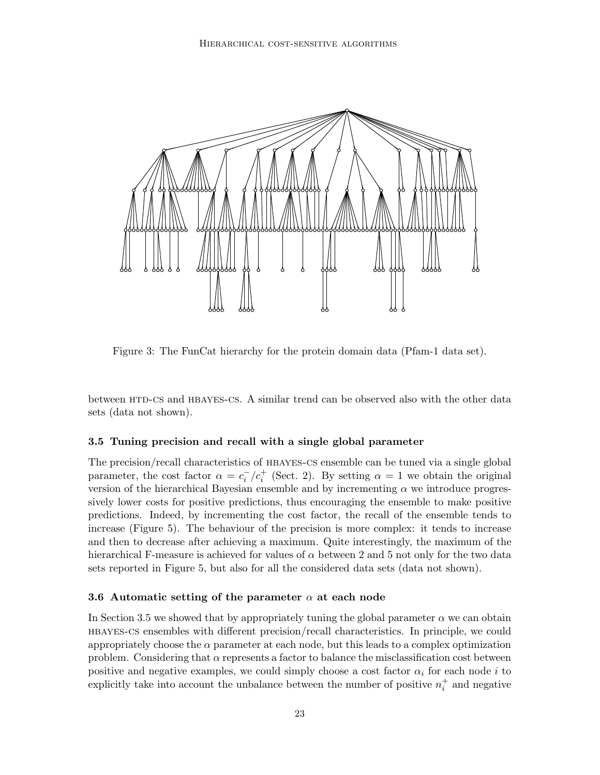

Figure 3: The FunCat hierarchy for the protein domain data (Pfam-1 data set).

between HTD-CS and HBAYES-CS. A similar trend can be observed also with the other data sets (data not shown).

# 3.5 Tuning precision and recall with a single global parameter

The precision/recall characteristics of hbayes-cs ensemble can be tuned via a single global parameter, the cost factor  $\alpha = c_i^-/c_i^+$  (Sect. 2). By setting  $\alpha = 1$  we obtain the original version of the hierarchical Bayesian ensemble and by incrementing  $\alpha$  we introduce progressively lower costs for positive predictions, thus encouraging the ensemble to make positive predictions. Indeed, by incrementing the cost factor, the recall of the ensemble tends to increase (Figure 5). The behaviour of the precision is more complex: it tends to increase and then to decrease after achieving a maximum. Quite interestingly, the maximum of the hierarchical F-measure is achieved for values of  $\alpha$  between 2 and 5 not only for the two data sets reported in Figure 5, but also for all the considered data sets (data not shown).

#### 3.6 Automatic setting of the parameter  $\alpha$  at each node

In Section 3.5 we showed that by appropriately tuning the global parameter  $\alpha$  we can obtain hbayes-cs ensembles with different precision/recall characteristics. In principle, we could appropriately choose the  $\alpha$  parameter at each node, but this leads to a complex optimization problem. Considering that  $\alpha$  represents a factor to balance the misclassification cost between positive and negative examples, we could simply choose a cost factor  $\alpha_i$  for each node i to explicitly take into account the unbalance between the number of positive  $n_i^+$  and negative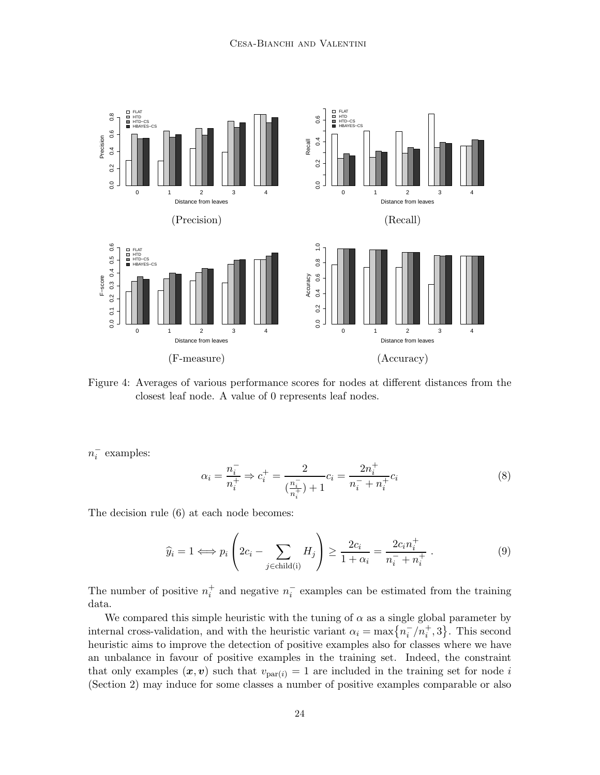

Figure 4: Averages of various performance scores for nodes at different distances from the closest leaf node. A value of 0 represents leaf nodes.

 $n_i^-$  examples:

$$
\alpha_i = \frac{n_i^-}{n_i^+} \Rightarrow c_i^+ = \frac{2}{\left(\frac{n_i^-}{n_i^+}\right) + 1} c_i = \frac{2n_i^+}{n_i^- + n_i^+} c_i \tag{8}
$$

The decision rule (6) at each node becomes:

$$
\widehat{y}_i = 1 \Longleftrightarrow p_i \left( 2c_i - \sum_{j \in \text{child}(i)} H_j \right) \ge \frac{2c_i}{1 + \alpha_i} = \frac{2c_i n_i^+}{n_i^- + n_i^+} \,. \tag{9}
$$

The number of positive  $n_i^+$  and negative  $n_i^-$  examples can be estimated from the training data.

We compared this simple heuristic with the tuning of  $\alpha$  as a single global parameter by internal cross-validation, and with the heuristic variant  $\alpha_i = \max\{n_i^-/n_i^+, 3\}$ . This second heuristic aims to improve the detection of positive examples also for classes where we have an unbalance in favour of positive examples in the training set. Indeed, the constraint that only examples  $(x, v)$  such that  $v_{\text{par}(i)} = 1$  are included in the training set for node i (Section 2) may induce for some classes a number of positive examples comparable or also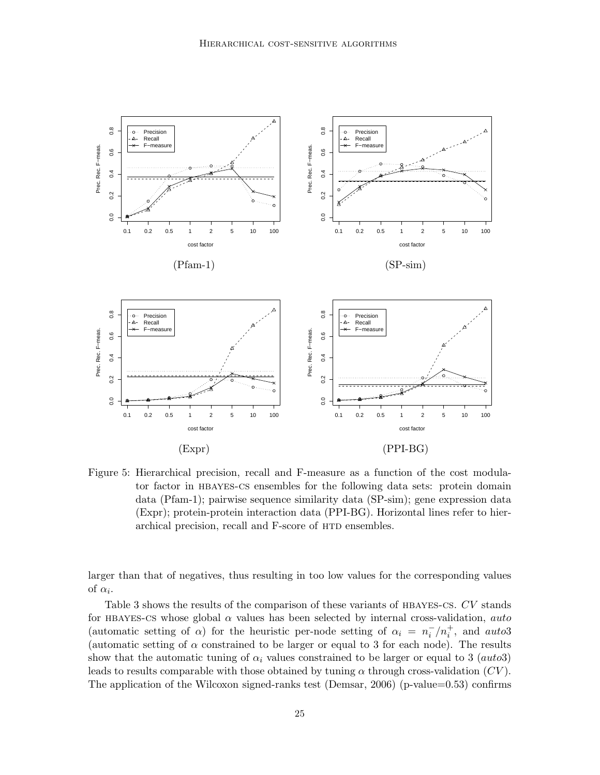

Figure 5: Hierarchical precision, recall and F-measure as a function of the cost modulator factor in hbayes-cs ensembles for the following data sets: protein domain data (Pfam-1); pairwise sequence similarity data (SP-sim); gene expression data (Expr); protein-protein interaction data (PPI-BG). Horizontal lines refer to hierarchical precision, recall and F-score of HTD ensembles.

larger than that of negatives, thus resulting in too low values for the corresponding values of  $\alpha_i$ .

Table 3 shows the results of the comparison of these variants of HBAYES-CS. CV stands for HBAYES-CS whose global  $\alpha$  values has been selected by internal cross-validation, auto (automatic setting of  $\alpha$ ) for the heuristic per-node setting of  $\alpha_i = n_i^-/n_i^+$ , and auto3 (automatic setting of  $\alpha$  constrained to be larger or equal to 3 for each node). The results show that the automatic tuning of  $\alpha_i$  values constrained to be larger or equal to 3 (auto3) leads to results comparable with those obtained by tuning  $\alpha$  through cross-validation  $(CV)$ . The application of the Wilcoxon signed-ranks test (Demsar, 2006) (p-value=0.53) confirms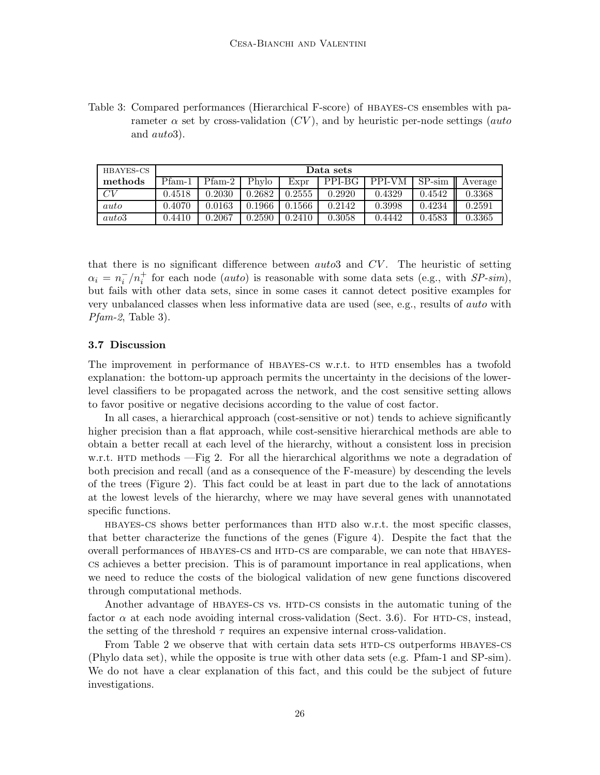Table 3: Compared performances (Hierarchical F-score) of hbayes-cs ensembles with parameter  $\alpha$  set by cross-validation (CV), and by heuristic per-node settings (auto and auto3).

| HBAYES-CS | Data sets |          |        |        |        |        |          |            |
|-----------|-----------|----------|--------|--------|--------|--------|----------|------------|
| methods   | $Pfam-1$  | $Pfam-2$ | Phylo  | Expr   | PPI-BG | PPI-VM | $SP-sim$ | ll Average |
| CV        | 0.4518    | 0.2030   | 0.2682 | 0.2555 | 0.2920 | 0.4329 | 0.4542   | 0.3368     |
| auto      | 0.4070    | 0.0163   | 0.1966 | 0.1566 | 0.2142 | 0.3998 | 0.4234   | 0.2591     |
| auto3     | 0.4410    | 0.2067   | 0.2590 | 0.2410 | 0.3058 | 0.4442 | 0.4583   | 0.3365     |

that there is no significant difference between  $auto3$  and  $CV$ . The heuristic of setting  $\alpha_i = n_i^-/n_i^+$  for each node (*auto*) is reasonable with some data sets (e.g., with *SP-sim*), but fails with other data sets, since in some cases it cannot detect positive examples for very unbalanced classes when less informative data are used (see, e.g., results of auto with  $Pfam-2$ , Table 3).

#### 3.7 Discussion

The improvement in performance of HBAYES-CS w.r.t. to HTD ensembles has a twofold explanation: the bottom-up approach permits the uncertainty in the decisions of the lowerlevel classifiers to be propagated across the network, and the cost sensitive setting allows to favor positive or negative decisions according to the value of cost factor.

In all cases, a hierarchical approach (cost-sensitive or not) tends to achieve significantly higher precision than a flat approach, while cost-sensitive hierarchical methods are able to obtain a better recall at each level of the hierarchy, without a consistent loss in precision w.r.t. HTD methods  $-Fig$  2. For all the hierarchical algorithms we note a degradation of both precision and recall (and as a consequence of the F-measure) by descending the levels of the trees (Figure 2). This fact could be at least in part due to the lack of annotations at the lowest levels of the hierarchy, where we may have several genes with unannotated specific functions.

HBAYES-CS shows better performances than HTD also w.r.t. the most specific classes, that better characterize the functions of the genes (Figure 4). Despite the fact that the overall performances of HBAYES-CS and HTD-CS are comparable, we can note that HBAYEScs achieves a better precision. This is of paramount importance in real applications, when we need to reduce the costs of the biological validation of new gene functions discovered through computational methods.

Another advantage of HBAYES-CS vs. HTD-CS consists in the automatic tuning of the factor  $\alpha$  at each node avoiding internal cross-validation (Sect. 3.6). For HTD-CS, instead, the setting of the threshold  $\tau$  requires an expensive internal cross-validation.

From Table 2 we observe that with certain data sets HTD-CS outperforms HBAYES-CS (Phylo data set), while the opposite is true with other data sets (e.g. Pfam-1 and SP-sim). We do not have a clear explanation of this fact, and this could be the subject of future investigations.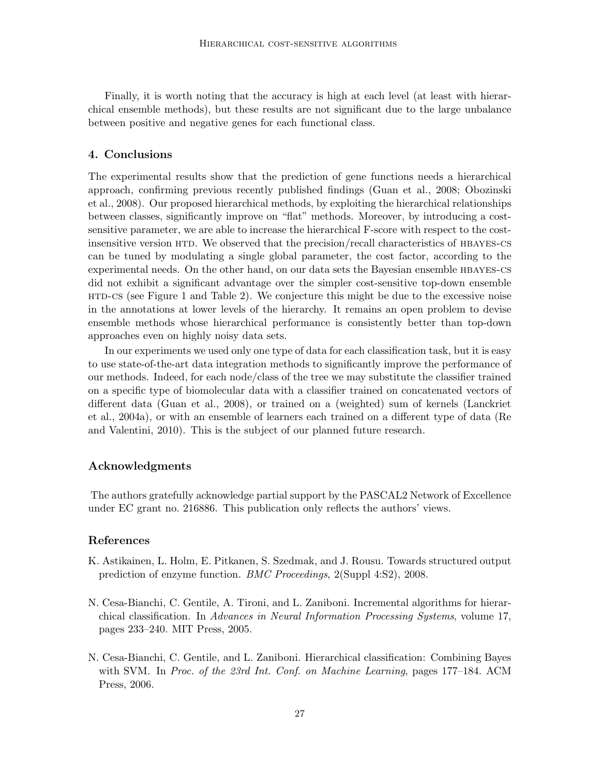Finally, it is worth noting that the accuracy is high at each level (at least with hierarchical ensemble methods), but these results are not significant due to the large unbalance between positive and negative genes for each functional class.

## 4. Conclusions

The experimental results show that the prediction of gene functions needs a hierarchical approach, confirming previous recently published findings (Guan et al., 2008; Obozinski et al., 2008). Our proposed hierarchical methods, by exploiting the hierarchical relationships between classes, significantly improve on "flat" methods. Moreover, by introducing a costsensitive parameter, we are able to increase the hierarchical F-score with respect to the costinsensitive version HTD. We observed that the precision/recall characteristics of HBAYES-CS can be tuned by modulating a single global parameter, the cost factor, according to the experimental needs. On the other hand, on our data sets the Bayesian ensemble hbayes-cs did not exhibit a significant advantage over the simpler cost-sensitive top-down ensemble htd-cs (see Figure 1 and Table 2). We conjecture this might be due to the excessive noise in the annotations at lower levels of the hierarchy. It remains an open problem to devise ensemble methods whose hierarchical performance is consistently better than top-down approaches even on highly noisy data sets.

In our experiments we used only one type of data for each classification task, but it is easy to use state-of-the-art data integration methods to significantly improve the performance of our methods. Indeed, for each node/class of the tree we may substitute the classifier trained on a specific type of biomolecular data with a classifier trained on concatenated vectors of different data (Guan et al., 2008), or trained on a (weighted) sum of kernels (Lanckriet et al., 2004a), or with an ensemble of learners each trained on a different type of data (Re and Valentini, 2010). This is the subject of our planned future research.

# Acknowledgments

The authors gratefully acknowledge partial support by the PASCAL2 Network of Excellence under EC grant no. 216886. This publication only reflects the authors' views.

## References

- K. Astikainen, L. Holm, E. Pitkanen, S. Szedmak, and J. Rousu. Towards structured output prediction of enzyme function. BMC Proceedings, 2(Suppl 4:S2), 2008.
- N. Cesa-Bianchi, C. Gentile, A. Tironi, and L. Zaniboni. Incremental algorithms for hierarchical classification. In Advances in Neural Information Processing Systems, volume 17, pages 233–240. MIT Press, 2005.
- N. Cesa-Bianchi, C. Gentile, and L. Zaniboni. Hierarchical classification: Combining Bayes with SVM. In Proc. of the 23rd Int. Conf. on Machine Learning, pages 177–184. ACM Press, 2006.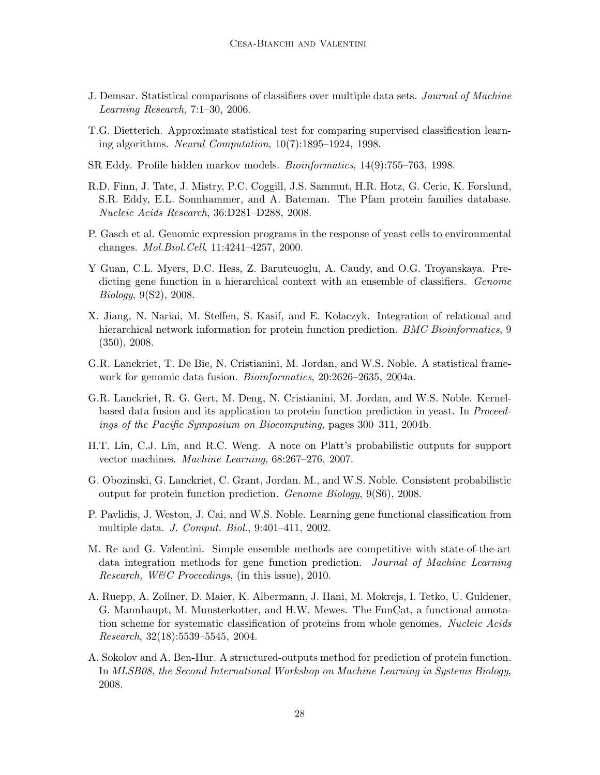- J. Demsar. Statistical comparisons of classifiers over multiple data sets. Journal of Machine Learning Research, 7:1–30, 2006.
- T.G. Dietterich. Approximate statistical test for comparing supervised classification learning algorithms. Neural Computation, 10(7):1895–1924, 1998.
- SR Eddy. Profile hidden markov models. Bioinformatics, 14(9):755–763, 1998.
- R.D. Finn, J. Tate, J. Mistry, P.C. Coggill, J.S. Sammut, H.R. Hotz, G. Ceric, K. Forslund, S.R. Eddy, E.L. Sonnhammer, and A. Bateman. The Pfam protein families database. Nucleic Acids Research, 36:D281–D288, 2008.
- P. Gasch et al. Genomic expression programs in the response of yeast cells to environmental changes. Mol.Biol.Cell, 11:4241–4257, 2000.
- Y Guan, C.L. Myers, D.C. Hess, Z. Barutcuoglu, A. Caudy, and O.G. Troyanskaya. Predicting gene function in a hierarchical context with an ensemble of classifiers. Genome Biology, 9(S2), 2008.
- X. Jiang, N. Nariai, M. Steffen, S. Kasif, and E. Kolaczyk. Integration of relational and hierarchical network information for protein function prediction. *BMC Bioinformatics*, 9 (350), 2008.
- G.R. Lanckriet, T. De Bie, N. Cristianini, M. Jordan, and W.S. Noble. A statistical framework for genomic data fusion. Bioinformatics, 20:2626–2635, 2004a.
- G.R. Lanckriet, R. G. Gert, M. Deng, N. Cristianini, M. Jordan, and W.S. Noble. Kernelbased data fusion and its application to protein function prediction in yeast. In Proceedings of the Pacific Symposium on Biocomputing, pages 300–311, 2004b.
- H.T. Lin, C.J. Lin, and R.C. Weng. A note on Platt's probabilistic outputs for support vector machines. Machine Learning, 68:267–276, 2007.
- G. Obozinski, G. Lanckriet, C. Grant, Jordan. M., and W.S. Noble. Consistent probabilistic output for protein function prediction. Genome Biology, 9(S6), 2008.
- P. Pavlidis, J. Weston, J. Cai, and W.S. Noble. Learning gene functional classification from multiple data. J. Comput. Biol., 9:401–411, 2002.
- M. Re and G. Valentini. Simple ensemble methods are competitive with state-of-the-art data integration methods for gene function prediction. Journal of Machine Learning Research, W&C Proceedings, (in this issue), 2010.
- A. Ruepp, A. Zollner, D. Maier, K. Albermann, J. Hani, M. Mokrejs, I. Tetko, U. Guldener, G. Mannhaupt, M. Munsterkotter, and H.W. Mewes. The FunCat, a functional annotation scheme for systematic classification of proteins from whole genomes. Nucleic Acids Research, 32(18):5539–5545, 2004.
- A. Sokolov and A. Ben-Hur. A structured-outputs method for prediction of protein function. In MLSB08, the Second International Workshop on Machine Learning in Systems Biology, 2008.